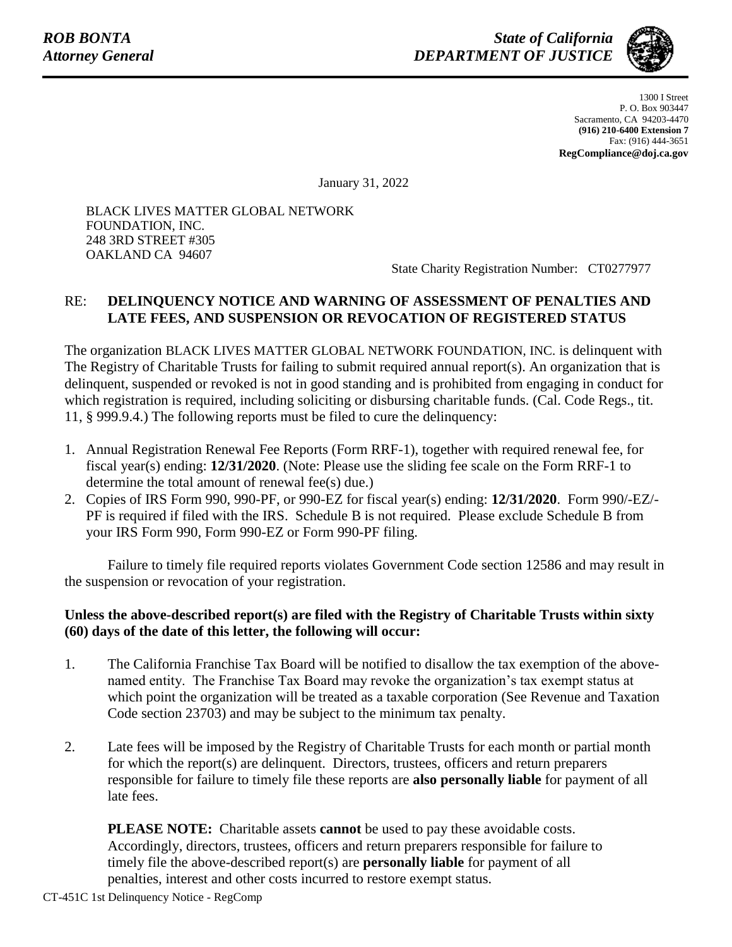

1300 I Street P. O. Box 903447 Sacramento, CA 94203-4470 **(916) 210-6400 Extension 7** Fax: (916) 444-3651 **RegCompliance@doj.ca.gov**

January 31, 2022

BLACK LIVES MATTER GLOBAL NETWORK FOUNDATION, INC. 248 3RD STREET #305 OAKLAND CA 94607

State Charity Registration Number: CT0277977

## RE: **DELINQUENCY NOTICE AND WARNING OF ASSESSMENT OF PENALTIES AND LATE FEES, AND SUSPENSION OR REVOCATION OF REGISTERED STATUS**

The organization BLACK LIVES MATTER GLOBAL NETWORK FOUNDATION, INC. is delinquent with The Registry of Charitable Trusts for failing to submit required annual report(s). An organization that is delinquent, suspended or revoked is not in good standing and is prohibited from engaging in conduct for which registration is required, including soliciting or disbursing charitable funds. (Cal. Code Regs., tit. 11, § 999.9.4.) The following reports must be filed to cure the delinquency:

- 1. Annual Registration Renewal Fee Reports (Form RRF-1), together with required renewal fee, for fiscal year(s) ending: **12/31/2020**. (Note: Please use the sliding fee scale on the Form RRF-1 to determine the total amount of renewal fee(s) due.)
- 2. Copies of IRS Form 990, 990-PF, or 990-EZ for fiscal year(s) ending: **12/31/2020**. Form 990/-EZ/- PF is required if filed with the IRS. Schedule B is not required. Please exclude Schedule B from your IRS Form 990, Form 990-EZ or Form 990-PF filing.

Failure to timely file required reports violates Government Code section 12586 and may result in the suspension or revocation of your registration.

## **Unless the above-described report(s) are filed with the Registry of Charitable Trusts within sixty (60) days of the date of this letter, the following will occur:**

- 1. The California Franchise Tax Board will be notified to disallow the tax exemption of the abovenamed entity. The Franchise Tax Board may revoke the organization's tax exempt status at which point the organization will be treated as a taxable corporation (See Revenue and Taxation Code section 23703) and may be subject to the minimum tax penalty.
- 2. Late fees will be imposed by the Registry of Charitable Trusts for each month or partial month for which the report(s) are delinquent. Directors, trustees, officers and return preparers responsible for failure to timely file these reports are **also personally liable** for payment of all late fees.

**PLEASE NOTE:** Charitable assets **cannot** be used to pay these avoidable costs. Accordingly, directors, trustees, officers and return preparers responsible for failure to timely file the above-described report(s) are **personally liable** for payment of all penalties, interest and other costs incurred to restore exempt status.